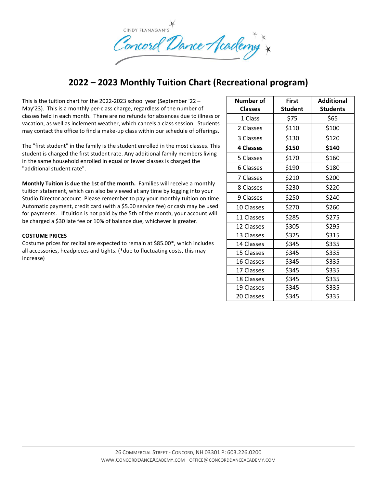

## **2022 – 2023 Monthly Tuition Chart (Recreational program)**

This is the tuition chart for the 2022-2023 school year (September '22 – May'23). This is a monthly per-class charge, regardless of the number of classes held in each month. There are no refunds for absences due to illness or vacation, as well as inclement weather, which cancels a class session. Students may contact the office to find a make-up class within our schedule of offerings.

The "first student" in the family is the student enrolled in the most classes. This student is charged the first student rate. Any additional family members living in the same household enrolled in equal or fewer classes is charged the "additional student rate".

**Monthly Tuition is due the 1st of the month.** Families will receive a monthly tuition statement, which can also be viewed at any time by logging into your Studio Director account. Please remember to pay your monthly tuition on time. Automatic payment, credit card (with a \$5.00 service fee) or cash may be used for payments. If tuition is not paid by the 5th of the month, your account will be charged a \$30 late fee or 10% of balance due, whichever is greater.

## **COSTUME PRICES**

Costume prices for recital are expected to remain at \$85.00\*, which includes all accessories, headpieces and tights. (\*due to fluctuating costs, this may increase)

| Number of        | First          | <b>Additional</b> |
|------------------|----------------|-------------------|
| <b>Classes</b>   | <b>Student</b> | <b>Students</b>   |
| 1 Class          | \$75           | \$65              |
| 2 Classes        | \$110          | \$100             |
| 3 Classes        | \$130          | \$120             |
| <b>4 Classes</b> | \$150          | \$140             |
| 5 Classes        | \$170          | \$160             |
| 6 Classes        | \$190          | \$180             |
| 7 Classes        | \$210          | \$200             |
| 8 Classes        | \$230          | \$220             |
| 9 Classes        | \$250          | \$240             |
| 10 Classes       | \$270          | \$260             |
| 11 Classes       | \$285          | \$275             |
| 12 Classes       | \$305          | \$295             |
| 13 Classes       | \$325          | \$315             |
| 14 Classes       | \$345          | \$335             |
| 15 Classes       | \$345          | \$335             |
| 16 Classes       | \$345          | \$335             |
| 17 Classes       | \$345          | \$335             |
| 18 Classes       | \$345          | \$335             |
| 19 Classes       | \$345          | \$335             |
| 20 Classes       | \$345          | \$335             |